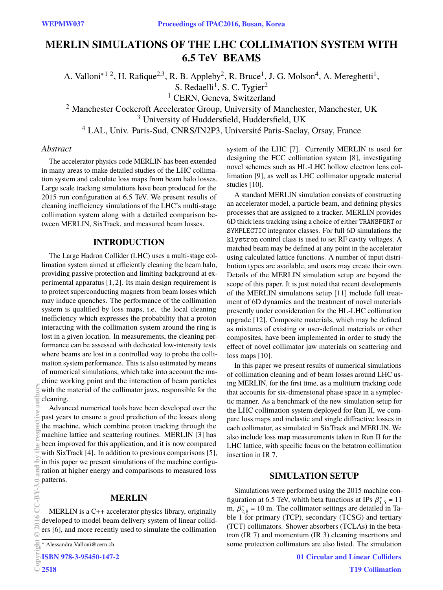# **MERLIN SIMULATIONS OF THE LHC COLLIMATION SYSTEM WITH 6.5 BEAMS TeV**

A. Valloni<sup>\*12</sup>, H. Rafique<sup>2,3</sup>, R. B. Appleby<sup>2</sup>, R. Bruce<sup>1</sup>, J. G. Molson<sup>4</sup>, A. Mereghetti<sup>1</sup>, S. Redaelli<sup>1</sup>, S. C. Tygier<sup>2</sup> <sup>1</sup> CERN, Geneva, Switzerland <sup>2</sup> Manchester Cockcroft Accelerator Group, University of Manchester, Manchester, UK <sup>3</sup> University of Huddersfield, Huddersfield, UK <sup>4</sup> LAL, Univ. Paris-Sud, CNRS/IN2P3, Université Paris-Saclay, Orsay, France

### *Abstract*

The accelerator physics code MERLIN has been extended in many areas to make detailed studies of the LHC collimation system and calculate loss maps from beam halo losses. Large scale tracking simulations have been produced for the 2015 run configuration at 6.5 TeV. We present results of cleaning inefficiency simulations of the LHC's multi-stage collimation system along with a detailed comparison between MERLIN, SixTrack, and measured beam losses.

#### **INTRODUCTION**

The Large Hadron Collider (LHC) uses a multi-stage collimation system aimed at efficiently cleaning the beam halo, providing passive protection and limiting background at experimental apparatus [1, 2]. Its main design requirement is to protect superconducting magnets from beam losses which may induce quenches. The performance of the collimation system is qualified by loss maps, i.e. the local cleaning inefficiency which expresses the probability that a proton interacting with the collimation system around the ring is lost in a given location. In measurements, the cleaning performance can be assessed with dedicated low-intensity tests where beams are lost in a controlled way to probe the collimation system performance. This is also estimated by means of numerical simulations, which take into account the machine working point and the interaction of beam particles with the material of the collimator jaws, responsible for the cleaning.

Advanced numerical tools have been developed over the past years to ensure a good prediction of the losses along the machine, which combine proton tracking through the machine lattice and scattering routines. MERLIN [3] has been improved for this application, and it is now compared with SixTrack [4]. In addition to previous comparisons [5], in this paper we present simulations of the machine configuration at higher energy and comparisons to measured loss patterns. Copyright Copyright Copyright Copyright Copyright Copyright Copyright Copyright Copyright Copyright Copyright Copyright Copyright Copyright Copyright Copyright Copyright Copyright Copyright Copyright Copyright Copyright C

#### **MERLIN**

MERLIN is a C++ accelerator physics library, originally developed to model beam delivery system of linear colliders [6], and more recently used to simulate the collimation

ISBN 978-3-95450-147-2

2518

system of the LHC [7]. Currently MERLIN is used for designing the FCC collimation system [8], investigating novel schemes such as HL-LHC hollow electron lens collimation [9], as well as LHC collimator upgrade material studies [10].

A standard MERLIN simulation consists of constructing an accelerator model, a particle beam, and defining physics processes that are assigned to a tracker. MERLIN provides 6D thick lens tracking using a choice of either TRANSPORT or SYMPLECTIC integrator classes. For full 6D simulations the klystron control class is used to set RF cavity voltages. A matched beam may be defined at any point in the accelerator using calculated lattice functions. A number of input distribution types are available, and users may create their own. Details of the MERLIN simulation setup are beyond the scope of this paper. It is just noted that recent developments of the MERLIN simulations setup [11] include full treatment of 6D dynamics and the treatment of novel materials presently under consideration for the HL-LHC collimation upgrade [12]. Composite materials, which may be defined as mixtures of existing or user-defined materials or other composites, have been implemented in order to study the effect of novel collimator jaw materials on scattering and loss maps [10].

In this paper we present results of numerical simulations of collimation cleaning and of beam losses around LHC using MERLIN, for the first time, as a multiturn tracking code that accounts for six-dimensional phase space in a symplectic manner. As a benchmark of the new simulation setup for the LHC collimation system deployed for Run II, we compare loss maps and inelastic and single diffractive losses in each collimator, as simulated in SixTrack and MERLIN. We also include loss map measurements taken in Run II for the LHC lattice, with specific focus on the betatron collimation insertion in IR 7.

### **SIMULATION SETUP**

Simulations were performed using the 2015 machine configuration at 6.5 TeV, whith beta functions at IPs  $\beta_{1.5}^* = 11$ <br>m  $\beta^* = 10$  m. The collimator settings are detailed in Ta m,  $\beta_{2,8}^* = 10$  m. The collimator settings are detailed in Ta-<br>hle 1 for primary (TCP), secondary (TCSG) and tertiary  $\mu$ ,  $\rho_{2,8}$  = 10 in. The commator settings are detailed in Table 1 for primary (TCP), secondary (TCSG) and tertiary (TCT) collimators. Shower absorbers (TCLAs) in the betatron (IR 7) and momentum (IR 3) cleaning insertions and some protection collimators are also listed. The simulation

<sup>∗</sup> Alessandra.Valloni@cern.ch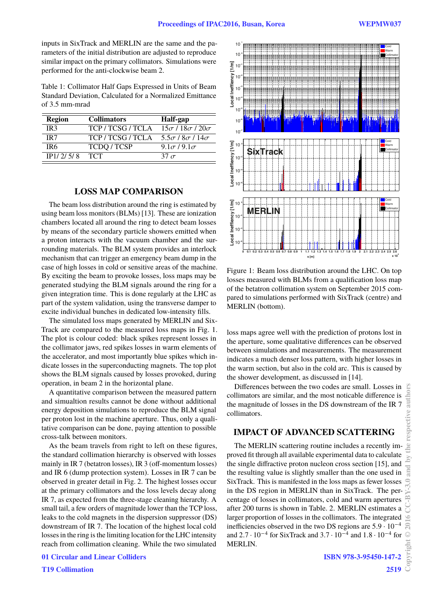inputs in SixTrack and MERLIN are the same and the parameters of the initial distribution are adjusted to reproduce similar impact on the primary collimators. Simulations were performed for the anti-clockwise beam 2.

Table 1: Collimator Half Gaps Expressed in Units of Beam Standard Deviation, Calculated for a Normalized Emittance of 3.5 mm-mrad

| <b>Region</b>   | <b>Collimators</b> | Half-gap                     |
|-----------------|--------------------|------------------------------|
| IR <sub>3</sub> | TCP/TCSG/TCLA      | $15\sigma/18\sigma/20\sigma$ |
| IR <sub>7</sub> | TCP/TCSG/TCLA      | $5.5\sigma/8\sigma/14\sigma$ |
| TR6             | <b>TCDQ/TCSP</b>   | $9.1\sigma/9.1\sigma$        |
| IP1/2/5/8       | <b>TCT</b>         | 37 $\sigma$                  |
|                 |                    |                              |

#### **LOSS MAP COMPARISON**

The beam loss distribution around the ring is estimated by using beam loss monitors (BLMs) [13]. These are ionization chambers located all around the ring to detect beam losses by means of the secondary particle showers emitted when a proton interacts with the vacuum chamber and the surrounding materials. The BLM system provides an interlock mechanism that can trigger an emergency beam dump in the case of high losses in cold or sensitive areas of the machine. By exciting the beam to provoke losses, loss maps may be generated studying the BLM signals around the ring for a given integration time. This is done regularly at the LHC as part of the system validation, using the transverse damper to excite individual bunches in dedicated low-intensity fills.

The simulated loss maps generated by MERLIN and Six-Track are compared to the measured loss maps in Fig. 1. The plot is colour coded: black spikes represent losses in the collimator jaws, red spikes losses in warm elements of the accelerator, and most importantly blue spikes which indicate losses in the superconducting magnets. The top plot shows the BLM signals caused by losses provoked, during operation, in beam 2 in the horizontal plane.

A quantitative comparison between the measured pattern and simualtion results cannot be done without additional energy deposition simulations to reproduce the BLM signal per proton lost in the machine aperture. Thus, only a qualitative comparison can be done, paying attention to possible cross-talk between monitors.

As the beam travels from right to left on these figures, the standard collimation hierarchy is observed with losses mainly in IR 7 (betatron losses), IR 3 (off-momentum losses) and IR 6 (dump protection system). Losses in IR 7 can be observed in greater detail in Fig. 2. The highest losses occur at the primary collimators and the loss levels decay along IR 7, as expected from the three-stage cleaning hierarchy. A small tail, a few orders of magnitude lower than the TCP loss, leaks to the cold magnets in the dispersion suppressor (DS) downstream of IR 7. The location of the highest local cold losses in the ring is the limiting location for the LHC intensity reach from collimation cleaning. While the two simulated





Figure 1: Beam loss distribution around the LHC. On top losses measured with BLMs from a qualification loss map of the betatron collimation system on September 2015 compared to simulations performed with SixTrack (centre) and MERLIN (bottom).

loss maps agree well with the prediction of protons lost in the aperture, some qualitative differences can be observed between simulations and measurements. The measurement indicates a much denser loss pattern, with higher losses in the warm section, but also in the cold arc. This is caused by the shower development, as discussed in [14].

Differences between the two codes are small. Losses in collimators are similar, and the most noticable difference is the magnitude of losses in the DS downstream of the IR 7 collimators.

#### **IMPACT OF ADVANCED SCATTERING**

The MERLIN scattering routine includes a recently improved fit through all available experimental data to calculate the single diffractive proton nucleon cross section [15], and the resulting value is slightly smaller than the one used in SixTrack. This is manifested in the loss maps as fewer losses in the DS region in MERLIN than in SixTrack. The percentage of losses in collimators, cold and warm apertures after 200 turns is shown in Table. 2. MERLIN estimates a larger proportion of losses in the collimators. The integrated inefficiencies observed in the two DS regions are  $5.9 \cdot 10^{-4}$ and 2.7 · 10<sup>−4</sup> for SixTrack and 3.7 · 10<sup>−4</sup> and 1.8 · 10<sup>−4</sup> for<br>MERI IN MERLIN.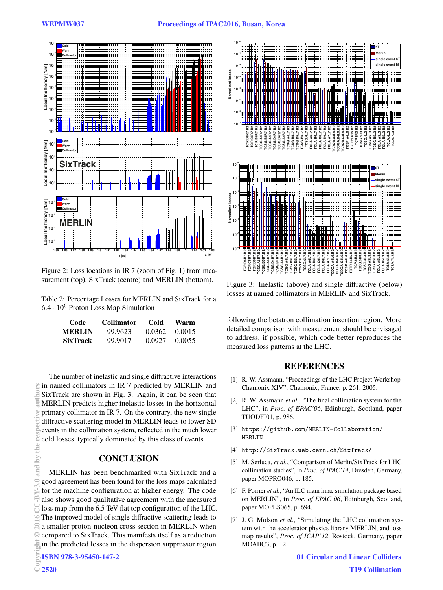

Figure 2: Loss locations in IR 7 (zoom of Fig. 1) from measurement (top), SixTrack (centre) and MERLIN (bottom).

Table 2: Percentage Losses for MERLIN and SixTrack for a  $6.4 \cdot 10^6$  Proton Loss Map Simulation

| Code            | <b>Collimator</b> | Cold   | Warm   |
|-----------------|-------------------|--------|--------|
| <b>MERLIN</b>   | 99.9623           | 0.0362 | 0.0015 |
| <b>SixTrack</b> | 99.9017           | 0.0927 | 0.0055 |

The number of inelastic and single diffractive interactions in named collimators in IR 7 predicted by MERLIN and SixTrack are shown in Fig. 3. Again, it can be seen that MERLIN predicts higher inelastic losses in the horizontal primary collimator in IR 7. On the contrary, the new single diffractive scattering model in MERLIN leads to lower SD events in the collimation system, reflected in the much lower cold losses, typically dominated by this class of events.

# **CONCLUSION**

MERLIN has been benchmarked with SixTrack and a good agreement has been found for the loss maps calculated for the machine configuration at higher energy. The code also shows good qualitative agreement with the measured loss map from the 6.5 TeV flat top configuration of the LHC. The improved model of single diffractive scattering leads to a smaller proton-nucleon cross section in MERLIN when compared to SixTrack. This manifests itself as a reduction in the predicted losses in the dispersion suppressor region Copyright © 2016 CC-BY-3.0 and by the respective also and by the respective also a small complete authors 2520<br>Copyright CC-BY-3.0 and by the respective also a small complete authors 2520<br>CO-BY-3.1 and complete authors 25



Figure 3: Inelastic (above) and single diffractive (below) losses at named collimators in MERLIN and SixTrack.

following the betatron collimation insertion region. More detailed comparison with measurement should be envisaged to address, if possible, which code better reproduces the measured loss patterns at the LHC.

# **REFERENCES**

- [1] R. W. Assmann, "Proceedings of the LHC Project Workshop-Chamonix XIV", Chamonix, France, p. 261, 2005.
- [2] R. W. Assmann *et al.*, "The final collimation system for the LHC", in *Proc. of EPAC'06*, Edinburgh, Scotland, paper TUODFI01, p. 986.
- [3] https://github.com/MERLIN-Collaboration/ MERLIN
- [4] http://SixTrack.web.cern.ch/SixTrack/
- [5] M. Serluca, *et al.*, "Comparison of Merlin/SixTrack for LHC collimation studies", in *Proc. of IPAC'14*, Dresden, Germany, paper MOPRO046, p. 185.
- [6] F. Poirier *et al.*, "An ILC main linac simulation package based on MERLIN", in *Proc. of EPAC'06*, Edinburgh, Scotland, paper MOPLS065, p. 694.
- [7] J. G. Molson *et al.*, "Simulating the LHC collimation system with the accelerator physics library MERLIN, and loss map results", *Proc. of ICAP'12*, Rostock, Germany, paper MOABC3, p. 12.

2520